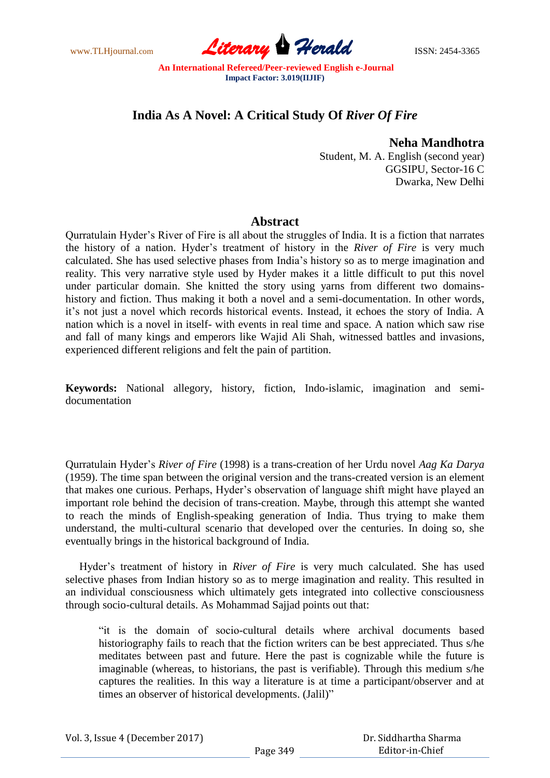www.TLHjournal.com **Literary Herald Herald** ISSN: 2454-3365

# **India As A Novel: A Critical Study Of** *River Of Fire*

### **Neha Mandhotra**

Student, M. A. English (second year) GGSIPU, Sector-16 C Dwarka, New Delhi

## **Abstract**

Qurratulain Hyder"s River of Fire is all about the struggles of India. It is a fiction that narrates the history of a nation. Hyder"s treatment of history in the *River of Fire* is very much calculated. She has used selective phases from India"s history so as to merge imagination and reality. This very narrative style used by Hyder makes it a little difficult to put this novel under particular domain. She knitted the story using yarns from different two domainshistory and fiction. Thus making it both a novel and a semi-documentation. In other words, it's not just a novel which records historical events. Instead, it echoes the story of India. A nation which is a novel in itself- with events in real time and space. A nation which saw rise and fall of many kings and emperors like Wajid Ali Shah, witnessed battles and invasions, experienced different religions and felt the pain of partition.

**Keywords:** National allegory, history, fiction, Indo-islamic, imagination and semidocumentation

Qurratulain Hyder"s *River of Fire* (1998) is a trans-creation of her Urdu novel *Aag Ka Darya* (1959). The time span between the original version and the trans-created version is an element that makes one curious. Perhaps, Hyder"s observation of language shift might have played an important role behind the decision of trans-creation. Maybe, through this attempt she wanted to reach the minds of English-speaking generation of India. Thus trying to make them understand, the multi-cultural scenario that developed over the centuries. In doing so, she eventually brings in the historical background of India.

 Hyder"s treatment of history in *River of Fire* is very much calculated. She has used selective phases from Indian history so as to merge imagination and reality. This resulted in an individual consciousness which ultimately gets integrated into collective consciousness through socio-cultural details. As Mohammad Sajjad points out that:

"it is the domain of socio-cultural details where archival documents based historiography fails to reach that the fiction writers can be best appreciated. Thus s/he meditates between past and future. Here the past is cognizable while the future is imaginable (whereas, to historians, the past is verifiable). Through this medium s/he captures the realities. In this way a literature is at time a participant/observer and at times an observer of historical developments. (Jalil)"

| Vol. 3, Issue 4 (December 2017) |  |
|---------------------------------|--|
|---------------------------------|--|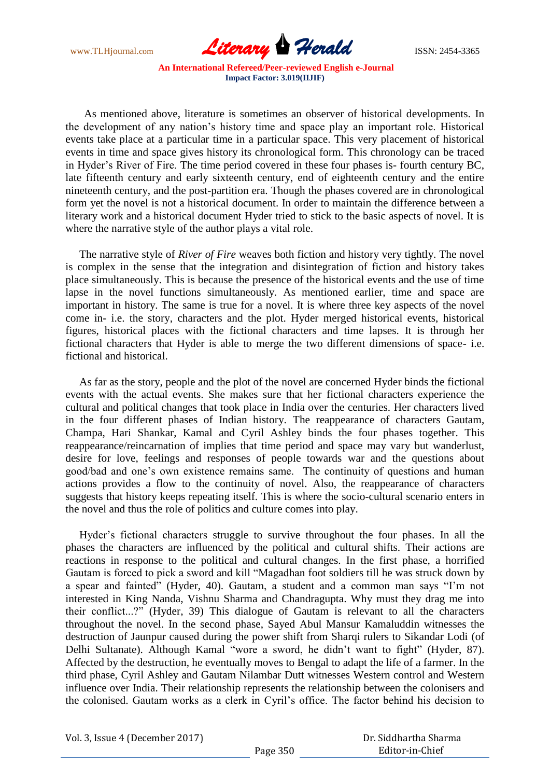www.TLHjournal.com **Literary Herald ISSN: 2454-3365** 

 As mentioned above, literature is sometimes an observer of historical developments. In the development of any nation"s history time and space play an important role. Historical events take place at a particular time in a particular space. This very placement of historical events in time and space gives history its chronological form. This chronology can be traced in Hyder"s River of Fire. The time period covered in these four phases is- fourth century BC, late fifteenth century and early sixteenth century, end of eighteenth century and the entire nineteenth century, and the post-partition era. Though the phases covered are in chronological form yet the novel is not a historical document. In order to maintain the difference between a literary work and a historical document Hyder tried to stick to the basic aspects of novel. It is where the narrative style of the author plays a vital role.

 The narrative style of *River of Fire* weaves both fiction and history very tightly. The novel is complex in the sense that the integration and disintegration of fiction and history takes place simultaneously. This is because the presence of the historical events and the use of time lapse in the novel functions simultaneously. As mentioned earlier, time and space are important in history. The same is true for a novel. It is where three key aspects of the novel come in- i.e. the story, characters and the plot. Hyder merged historical events, historical figures, historical places with the fictional characters and time lapses. It is through her fictional characters that Hyder is able to merge the two different dimensions of space- i.e. fictional and historical.

 As far as the story, people and the plot of the novel are concerned Hyder binds the fictional events with the actual events. She makes sure that her fictional characters experience the cultural and political changes that took place in India over the centuries. Her characters lived in the four different phases of Indian history. The reappearance of characters Gautam, Champa, Hari Shankar, Kamal and Cyril Ashley binds the four phases together. This reappearance/reincarnation of implies that time period and space may vary but wanderlust, desire for love, feelings and responses of people towards war and the questions about good/bad and one"s own existence remains same. The continuity of questions and human actions provides a flow to the continuity of novel. Also, the reappearance of characters suggests that history keeps repeating itself. This is where the socio-cultural scenario enters in the novel and thus the role of politics and culture comes into play.

 Hyder"s fictional characters struggle to survive throughout the four phases. In all the phases the characters are influenced by the political and cultural shifts. Their actions are reactions in response to the political and cultural changes. In the first phase, a horrified Gautam is forced to pick a sword and kill "Magadhan foot soldiers till he was struck down by a spear and fainted" (Hyder, 40). Gautam, a student and a common man says "I"m not interested in King Nanda, Vishnu Sharma and Chandragupta. Why must they drag me into their conflict...?" (Hyder, 39) This dialogue of Gautam is relevant to all the characters throughout the novel. In the second phase, Sayed Abul Mansur Kamaluddin witnesses the destruction of Jaunpur caused during the power shift from Sharqi rulers to Sikandar Lodi (of Delhi Sultanate). Although Kamal "wore a sword, he didn"t want to fight" (Hyder, 87). Affected by the destruction, he eventually moves to Bengal to adapt the life of a farmer. In the third phase, Cyril Ashley and Gautam Nilambar Dutt witnesses Western control and Western influence over India. Their relationship represents the relationship between the colonisers and the colonised. Gautam works as a clerk in Cyril"s office. The factor behind his decision to

Vol. 3, Issue 4 (December 2017)

 Dr. Siddhartha Sharma Editor-in-Chief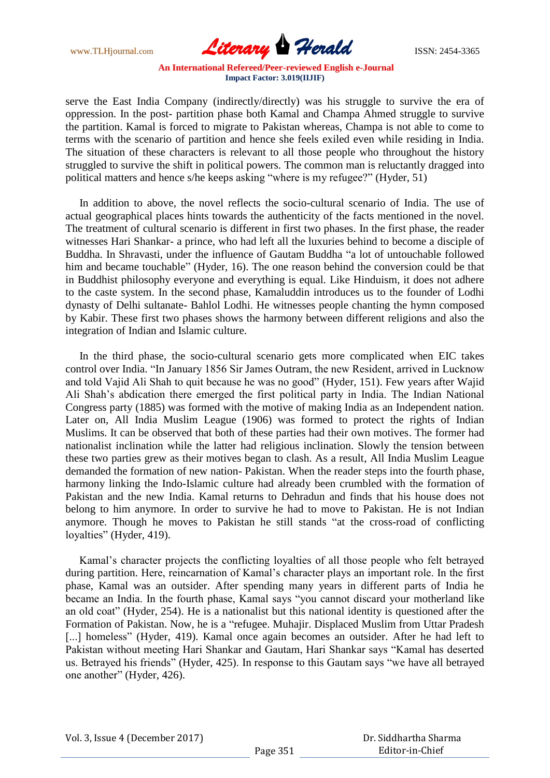www.TLHjournal.com **Literary Herald ISSN: 2454-3365** 

serve the East India Company (indirectly/directly) was his struggle to survive the era of oppression. In the post- partition phase both Kamal and Champa Ahmed struggle to survive the partition. Kamal is forced to migrate to Pakistan whereas, Champa is not able to come to terms with the scenario of partition and hence she feels exiled even while residing in India. The situation of these characters is relevant to all those people who throughout the history struggled to survive the shift in political powers. The common man is reluctantly dragged into political matters and hence s/he keeps asking "where is my refugee?" (Hyder, 51)

 In addition to above, the novel reflects the socio-cultural scenario of India. The use of actual geographical places hints towards the authenticity of the facts mentioned in the novel. The treatment of cultural scenario is different in first two phases. In the first phase, the reader witnesses Hari Shankar- a prince, who had left all the luxuries behind to become a disciple of Buddha. In Shravasti, under the influence of Gautam Buddha "a lot of untouchable followed him and became touchable" (Hyder, 16). The one reason behind the conversion could be that in Buddhist philosophy everyone and everything is equal. Like Hinduism, it does not adhere to the caste system. In the second phase, Kamaluddin introduces us to the founder of Lodhi dynasty of Delhi sultanate- Bahlol Lodhi. He witnesses people chanting the hymn composed by Kabir. These first two phases shows the harmony between different religions and also the integration of Indian and Islamic culture.

 In the third phase, the socio-cultural scenario gets more complicated when EIC takes control over India. "In January 1856 Sir James Outram, the new Resident, arrived in Lucknow and told Vajid Ali Shah to quit because he was no good" (Hyder, 151). Few years after Wajid Ali Shah"s abdication there emerged the first political party in India. The Indian National Congress party (1885) was formed with the motive of making India as an Independent nation. Later on, All India Muslim League (1906) was formed to protect the rights of Indian Muslims. It can be observed that both of these parties had their own motives. The former had nationalist inclination while the latter had religious inclination. Slowly the tension between these two parties grew as their motives began to clash. As a result, All India Muslim League demanded the formation of new nation- Pakistan. When the reader steps into the fourth phase, harmony linking the Indo-Islamic culture had already been crumbled with the formation of Pakistan and the new India. Kamal returns to Dehradun and finds that his house does not belong to him anymore. In order to survive he had to move to Pakistan. He is not Indian anymore. Though he moves to Pakistan he still stands "at the cross-road of conflicting loyalties" (Hyder, 419).

 Kamal"s character projects the conflicting loyalties of all those people who felt betrayed during partition. Here, reincarnation of Kamal's character plays an important role. In the first phase, Kamal was an outsider. After spending many years in different parts of India he became an India. In the fourth phase, Kamal says "you cannot discard your motherland like an old coat" (Hyder, 254). He is a nationalist but this national identity is questioned after the Formation of Pakistan. Now, he is a "refugee. Muhajir. Displaced Muslim from Uttar Pradesh [...] homeless" (Hyder, 419). Kamal once again becomes an outsider. After he had left to Pakistan without meeting Hari Shankar and Gautam, Hari Shankar says "Kamal has deserted us. Betrayed his friends" (Hyder, 425). In response to this Gautam says "we have all betrayed one another" (Hyder, 426).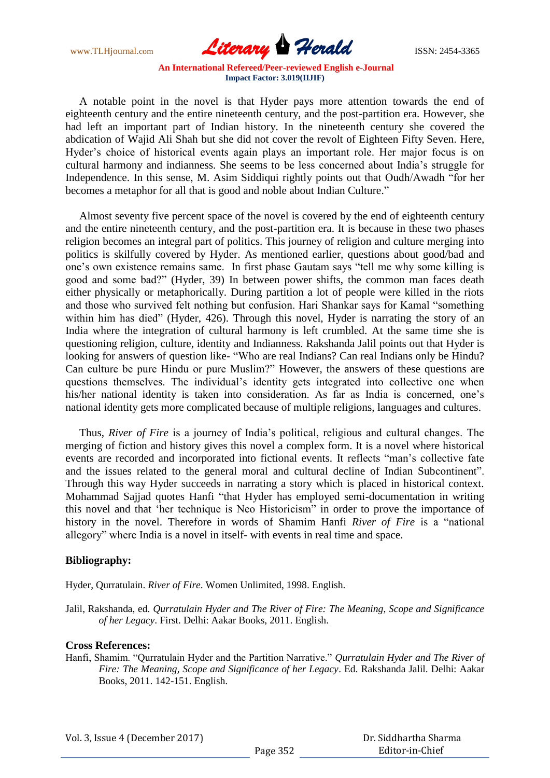www.TLHjournal.com **Literary Herald ISSN: 2454-3365** 

 A notable point in the novel is that Hyder pays more attention towards the end of eighteenth century and the entire nineteenth century, and the post-partition era. However, she had left an important part of Indian history. In the nineteenth century she covered the abdication of Wajid Ali Shah but she did not cover the revolt of Eighteen Fifty Seven. Here, Hyder"s choice of historical events again plays an important role. Her major focus is on cultural harmony and indianness. She seems to be less concerned about India"s struggle for Independence. In this sense, M. Asim Siddiqui rightly points out that Oudh/Awadh "for her becomes a metaphor for all that is good and noble about Indian Culture."

 Almost seventy five percent space of the novel is covered by the end of eighteenth century and the entire nineteenth century, and the post-partition era. It is because in these two phases religion becomes an integral part of politics. This journey of religion and culture merging into politics is skilfully covered by Hyder. As mentioned earlier, questions about good/bad and one"s own existence remains same. In first phase Gautam says "tell me why some killing is good and some bad?" (Hyder, 39) In between power shifts, the common man faces death either physically or metaphorically. During partition a lot of people were killed in the riots and those who survived felt nothing but confusion. Hari Shankar says for Kamal "something within him has died" (Hyder, 426). Through this novel, Hyder is narrating the story of an India where the integration of cultural harmony is left crumbled. At the same time she is questioning religion, culture, identity and Indianness. Rakshanda Jalil points out that Hyder is looking for answers of question like- "Who are real Indians? Can real Indians only be Hindu? Can culture be pure Hindu or pure Muslim?" However, the answers of these questions are questions themselves. The individual's identity gets integrated into collective one when his/her national identity is taken into consideration. As far as India is concerned, one's national identity gets more complicated because of multiple religions, languages and cultures.

 Thus, *River of Fire* is a journey of India"s political, religious and cultural changes. The merging of fiction and history gives this novel a complex form. It is a novel where historical events are recorded and incorporated into fictional events. It reflects "man"s collective fate and the issues related to the general moral and cultural decline of Indian Subcontinent". Through this way Hyder succeeds in narrating a story which is placed in historical context. Mohammad Sajjad quotes Hanfi "that Hyder has employed semi-documentation in writing this novel and that "her technique is Neo Historicism" in order to prove the importance of history in the novel. Therefore in words of Shamim Hanfi *River of Fire* is a "national allegory" where India is a novel in itself- with events in real time and space.

### **Bibliography:**

Hyder, Qurratulain. *River of Fire*. Women Unlimited, 1998. English.

Jalil, Rakshanda, ed. *Qurratulain Hyder and The River of Fire: The Meaning, Scope and Significance of her Legacy*. First. Delhi: Aakar Books, 2011. English.

### **Cross References:**

Hanfi, Shamim. "Qurratulain Hyder and the Partition Narrative." *Qurratulain Hyder and The River of Fire: The Meaning, Scope and Significance of her Legacy*. Ed. Rakshanda Jalil. Delhi: Aakar Books, 2011. 142-151. English.